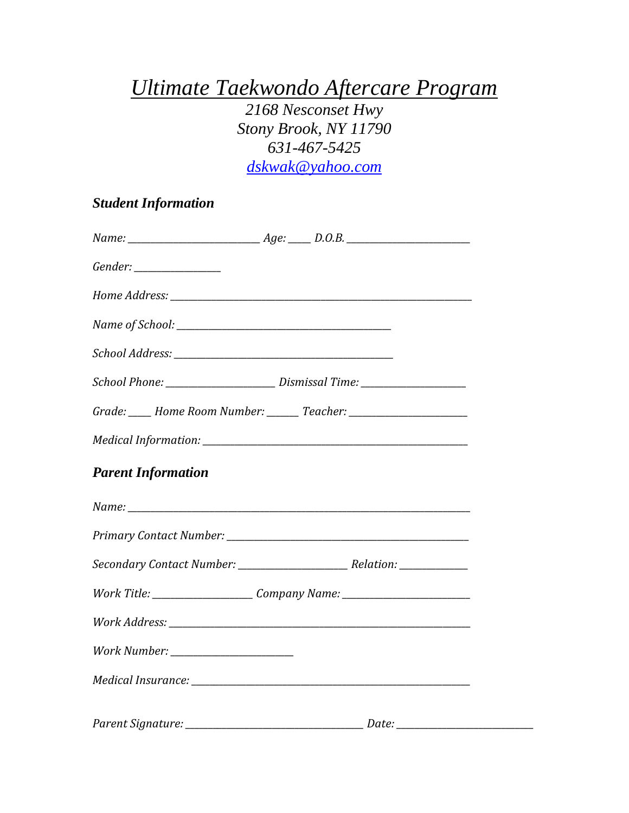## *Ultimate Taekwondo Aftercare Program*

*2168 Nesconset Hwy Stony Brook, NY 11790 631-467-5425 [dskwak@yahoo.com](mailto:dskwak@yahoo.com)*

## *Student Information*

|                           | School Phone: _______________________________ Dismissal Time: ___________________ |  |
|---------------------------|-----------------------------------------------------------------------------------|--|
|                           | Grade: ____ Home Room Number: ______ Teacher: __________________________________  |  |
|                           |                                                                                   |  |
| <b>Parent Information</b> |                                                                                   |  |
|                           |                                                                                   |  |
|                           |                                                                                   |  |
|                           |                                                                                   |  |
|                           | Work Title: ________________________Company Name: ______________________________  |  |
|                           |                                                                                   |  |
|                           |                                                                                   |  |
|                           |                                                                                   |  |
|                           |                                                                                   |  |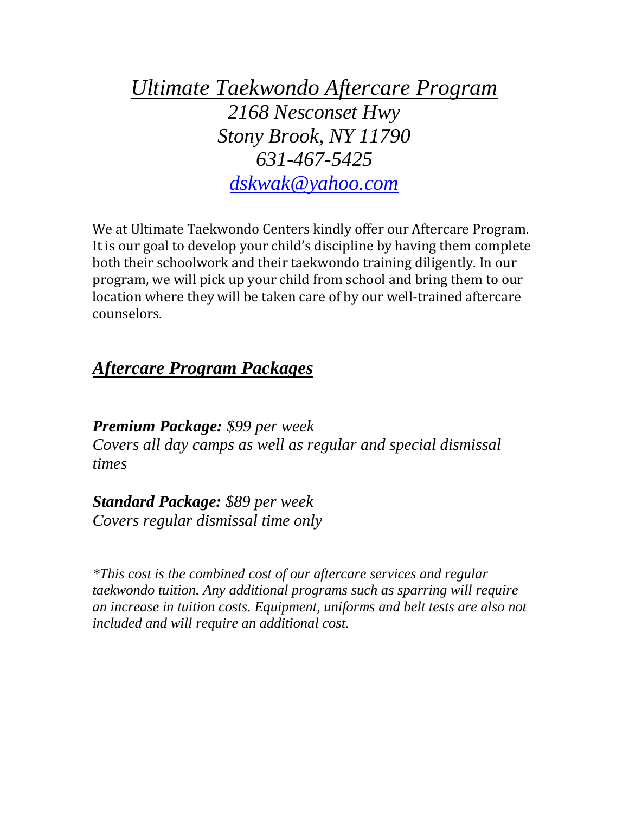*Ultimate Taekwondo Aftercare Program 2168 Nesconset Hwy Stony Brook, NY 11790 631-467-5425 [dskwak@yahoo.com](mailto:dskwak@yahoo.com)*

We at Ultimate Taekwondo Centers kindly offer our Aftercare Program. It is our goal to develop your child's discipline by having them complete both their schoolwork and their taekwondo training diligently. In our program, we will pick up your child from school and bring them to our location where they will be taken care of by our well-trained aftercare counselors.

## *Aftercare Program Packages*

*Premium Package: \$99 per week Covers all day camps as well as regular and special dismissal times*

*Standard Package: \$89 per week Covers regular dismissal time only*

*\*This cost is the combined cost of our aftercare services and regular taekwondo tuition. Any additional programs such as sparring will require an increase in tuition costs. Equipment, uniforms and belt tests are also not included and will require an additional cost.*